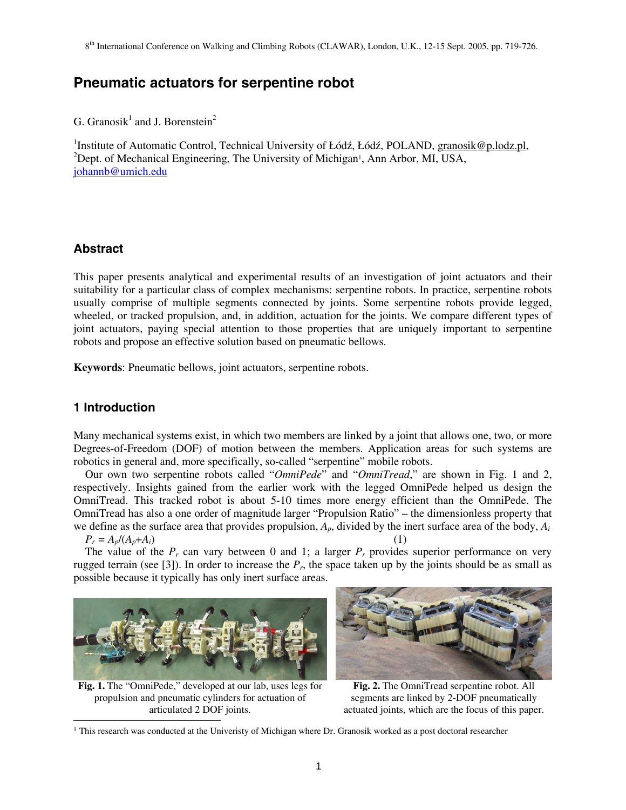# **Pneumatic actuators for serpentine robot**

G. Granosik<sup>1</sup> and J. Borenstein<sup>2</sup>

<sup>1</sup>Institute of Automatic Control, Technical University of Łódź, Łódź, POLAND, granosik@p.lodz.pl, <sup>2</sup>Dont, of Mechanical Engineering, The University of Mechanical Ann Arbor. ML USA <sup>2</sup>Dept. of Mechanical Engineering, The University of Michigan<sup>1</sup>, Ann Arbor, MI, USA, johannb@umich.edu

# **Abstract**

This paper presents analytical and experimental results of an investigation of joint actuators and their suitability for a particular class of complex mechanisms: serpentine robots. In practice, serpentine robots usually comprise of multiple segments connected by joints. Some serpentine robots provide legged, wheeled, or tracked propulsion, and, in addition, actuation for the joints. We compare different types of joint actuators, paying special attention to those properties that are uniquely important to serpentine robots and propose an effective solution based on pneumatic bellows.

**Keywords**: Pneumatic bellows, joint actuators, serpentine robots.

# **1 Introduction**

-

Many mechanical systems exist, in which two members are linked by a joint that allows one, two, or more Degrees-of-Freedom (DOF) of motion between the members. Application areas for such systems are robotics in general and, more specifically, so-called "serpentine" mobile robots.

Our own two serpentine robots called "*OmniPede*" and "*OmniTread*," are shown in Fig. 1 and 2, respectively. Insights gained from the earlier work with the legged OmniPede helped us design the OmniTread. This tracked robot is about 5-10 times more energy efficient than the OmniPede. The OmniTread has also a one order of magnitude larger "Propulsion Ratio" – the dimensionless property that we define as the surface area that provides propulsion, *Ap*, divided by the inert surface area of the body, *Ai*   $P_r = A_p / (A_p + A_i)$  (1)

The value of the  $P_r$  can vary between 0 and 1; a larger  $P_r$  provides superior performance on very rugged terrain (see [3]). In order to increase the  $P_r$ , the space taken up by the joints should be as small as possible because it typically has only inert surface areas.



**Fig. 1.** The "OmniPede," developed at our lab, uses legs for propulsion and pneumatic cylinders for actuation of articulated 2 DOF joints.



**Fig. 2.** The OmniTread serpentine robot. All segments are linked by 2-DOF pneumatically actuated joints, which are the focus of this paper.

 $<sup>1</sup>$  This research was conducted at the Univeristy of Michigan where Dr. Granosik worked as a post doctoral researcher</sup>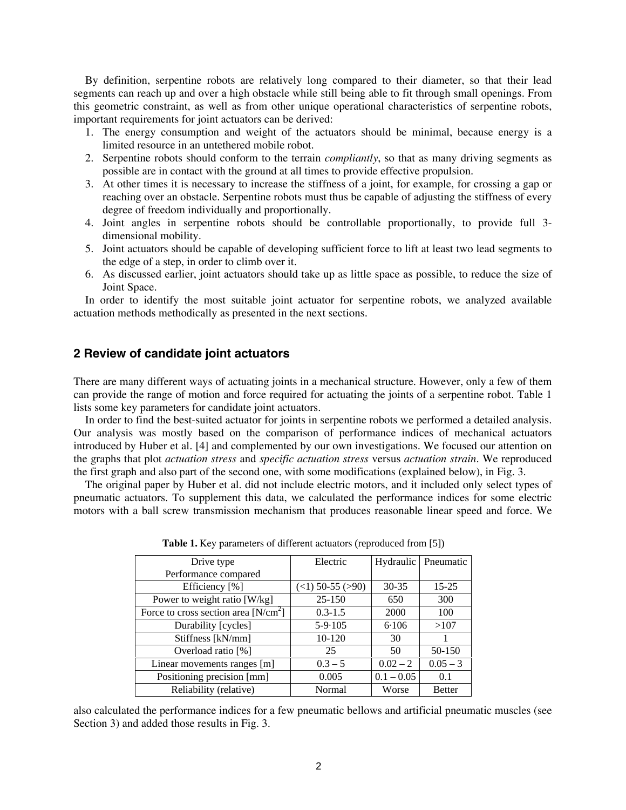By definition, serpentine robots are relatively long compared to their diameter, so that their lead segments can reach up and over a high obstacle while still being able to fit through small openings. From this geometric constraint, as well as from other unique operational characteristics of serpentine robots, important requirements for joint actuators can be derived:

- 1. The energy consumption and weight of the actuators should be minimal, because energy is a limited resource in an untethered mobile robot.
- 2. Serpentine robots should conform to the terrain *compliantly*, so that as many driving segments as possible are in contact with the ground at all times to provide effective propulsion.
- 3. At other times it is necessary to increase the stiffness of a joint, for example, for crossing a gap or reaching over an obstacle. Serpentine robots must thus be capable of adjusting the stiffness of every degree of freedom individually and proportionally.
- 4. Joint angles in serpentine robots should be controllable proportionally, to provide full 3 dimensional mobility.
- 5. Joint actuators should be capable of developing sufficient force to lift at least two lead segments to the edge of a step, in order to climb over it.
- 6. As discussed earlier, joint actuators should take up as little space as possible, to reduce the size of Joint Space.

In order to identify the most suitable joint actuator for serpentine robots, we analyzed available actuation methods methodically as presented in the next sections.

### **2 Review of candidate joint actuators**

There are many different ways of actuating joints in a mechanical structure. However, only a few of them can provide the range of motion and force required for actuating the joints of a serpentine robot. Table 1 lists some key parameters for candidate joint actuators.

In order to find the best-suited actuator for joints in serpentine robots we performed a detailed analysis. Our analysis was mostly based on the comparison of performance indices of mechanical actuators introduced by Huber et al. [4] and complemented by our own investigations. We focused our attention on the graphs that plot *actuation stress* and *specific actuation stress* versus *actuation strain*. We reproduced the first graph and also part of the second one, with some modifications (explained below), in Fig. 3.

The original paper by Huber et al. did not include electric motors, and it included only select types of pneumatic actuators. To supplement this data, we calculated the performance indices for some electric motors with a ball screw transmission mechanism that produces reasonable linear speed and force. We

| Drive type                             | Electric                |              | Hydraulic   Pneumatic |
|----------------------------------------|-------------------------|--------------|-----------------------|
| Performance compared                   |                         |              |                       |
| Efficiency [%]                         | $($ <1) 50-55 ( $>90$ ) | $30 - 35$    | $15 - 25$             |
| Power to weight ratio [W/kg]           | $25 - 150$              | 650          | 300                   |
| Force to cross section area $[N/cm^2]$ | $0.3 - 1.5$             | 2000         | 100                   |
| Durability [cycles]                    | $5 - 9.105$             | 6.106        | >107                  |
| Stiffness [kN/mm]                      | $10-120$                | 30           |                       |
| Overload ratio [%]                     | 25                      | 50           | 50-150                |
| Linear movements ranges [m]            | $0.3 - 5$               | $0.02 - 2$   | $0.05 - 3$            |
| Positioning precision [mm]             | 0.005                   | $0.1 - 0.05$ | 0.1                   |
| Reliability (relative)                 | Normal                  | Worse        | <b>Better</b>         |

**Table 1.** Key parameters of different actuators (reproduced from [5])

also calculated the performance indices for a few pneumatic bellows and artificial pneumatic muscles (see Section 3) and added those results in Fig. 3.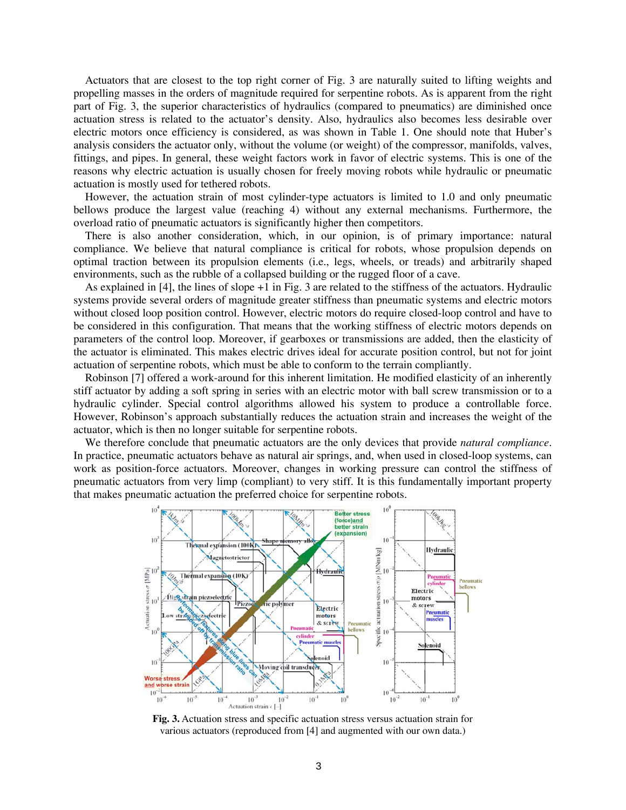Actuators that are closest to the top right corner of Fig. 3 are naturally suited to lifting weights and propelling masses in the orders of magnitude required for serpentine robots. As is apparent from the right part of Fig. 3, the superior characteristics of hydraulics (compared to pneumatics) are diminished once actuation stress is related to the actuator's density. Also, hydraulics also becomes less desirable over electric motors once efficiency is considered, as was shown in Table 1. One should note that Huber's analysis considers the actuator only, without the volume (or weight) of the compressor, manifolds, valves, fittings, and pipes. In general, these weight factors work in favor of electric systems. This is one of the reasons why electric actuation is usually chosen for freely moving robots while hydraulic or pneumatic actuation is mostly used for tethered robots.

However, the actuation strain of most cylinder-type actuators is limited to 1.0 and only pneumatic bellows produce the largest value (reaching 4) without any external mechanisms. Furthermore, the overload ratio of pneumatic actuators is significantly higher then competitors.

There is also another consideration, which, in our opinion, is of primary importance: natural compliance. We believe that natural compliance is critical for robots, whose propulsion depends on optimal traction between its propulsion elements (i.e., legs, wheels, or treads) and arbitrarily shaped environments, such as the rubble of a collapsed building or the rugged floor of a cave.

As explained in [4], the lines of slope +1 in Fig. 3 are related to the stiffness of the actuators. Hydraulic systems provide several orders of magnitude greater stiffness than pneumatic systems and electric motors without closed loop position control. However, electric motors do require closed-loop control and have to be considered in this configuration. That means that the working stiffness of electric motors depends on parameters of the control loop. Moreover, if gearboxes or transmissions are added, then the elasticity of the actuator is eliminated. This makes electric drives ideal for accurate position control, but not for joint actuation of serpentine robots, which must be able to conform to the terrain compliantly.

Robinson [7] offered a work-around for this inherent limitation. He modified elasticity of an inherently stiff actuator by adding a soft spring in series with an electric motor with ball screw transmission or to a hydraulic cylinder. Special control algorithms allowed his system to produce a controllable force. However, Robinson's approach substantially reduces the actuation strain and increases the weight of the actuator, which is then no longer suitable for serpentine robots.

We therefore conclude that pneumatic actuators are the only devices that provide *natural compliance*. In practice, pneumatic actuators behave as natural air springs, and, when used in closed-loop systems, can work as position-force actuators. Moreover, changes in working pressure can control the stiffness of pneumatic actuators from very limp (compliant) to very stiff. It is this fundamentally important property that makes pneumatic actuation the preferred choice for serpentine robots.



**Fig. 3.** Actuation stress and specific actuation stress versus actuation strain for various actuators (reproduced from [4] and augmented with our own data.)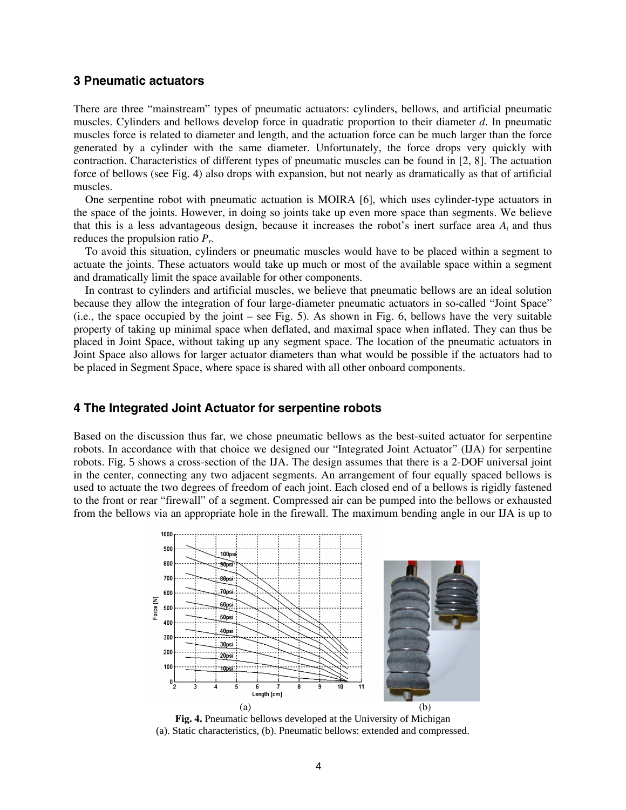## **3 Pneumatic actuators**

There are three "mainstream" types of pneumatic actuators: cylinders, bellows, and artificial pneumatic muscles. Cylinders and bellows develop force in quadratic proportion to their diameter *d*. In pneumatic muscles force is related to diameter and length, and the actuation force can be much larger than the force generated by a cylinder with the same diameter. Unfortunately, the force drops very quickly with contraction. Characteristics of different types of pneumatic muscles can be found in [2, 8]. The actuation force of bellows (see Fig. 4) also drops with expansion, but not nearly as dramatically as that of artificial muscles.

One serpentine robot with pneumatic actuation is MOIRA [6], which uses cylinder-type actuators in the space of the joints. However, in doing so joints take up even more space than segments. We believe that this is a less advantageous design, because it increases the robot's inert surface area *Ai* and thus reduces the propulsion ratio *Pr*.

To avoid this situation, cylinders or pneumatic muscles would have to be placed within a segment to actuate the joints. These actuators would take up much or most of the available space within a segment and dramatically limit the space available for other components.

In contrast to cylinders and artificial muscles, we believe that pneumatic bellows are an ideal solution because they allow the integration of four large-diameter pneumatic actuators in so-called "Joint Space" (i.e., the space occupied by the joint – see Fig. 5). As shown in Fig. 6, bellows have the very suitable property of taking up minimal space when deflated, and maximal space when inflated. They can thus be placed in Joint Space, without taking up any segment space. The location of the pneumatic actuators in Joint Space also allows for larger actuator diameters than what would be possible if the actuators had to be placed in Segment Space, where space is shared with all other onboard components.

### **4 The Integrated Joint Actuator for serpentine robots**

Based on the discussion thus far, we chose pneumatic bellows as the best-suited actuator for serpentine robots. In accordance with that choice we designed our "Integrated Joint Actuator" (IJA) for serpentine robots. Fig. 5 shows a cross-section of the IJA. The design assumes that there is a 2-DOF universal joint in the center, connecting any two adjacent segments. An arrangement of four equally spaced bellows is used to actuate the two degrees of freedom of each joint. Each closed end of a bellows is rigidly fastened to the front or rear "firewall" of a segment. Compressed air can be pumped into the bellows or exhausted from the bellows via an appropriate hole in the firewall. The maximum bending angle in our IJA is up to



**Fig. 4.** Pneumatic bellows developed at the University of Michigan (a). Static characteristics, (b). Pneumatic bellows: extended and compressed.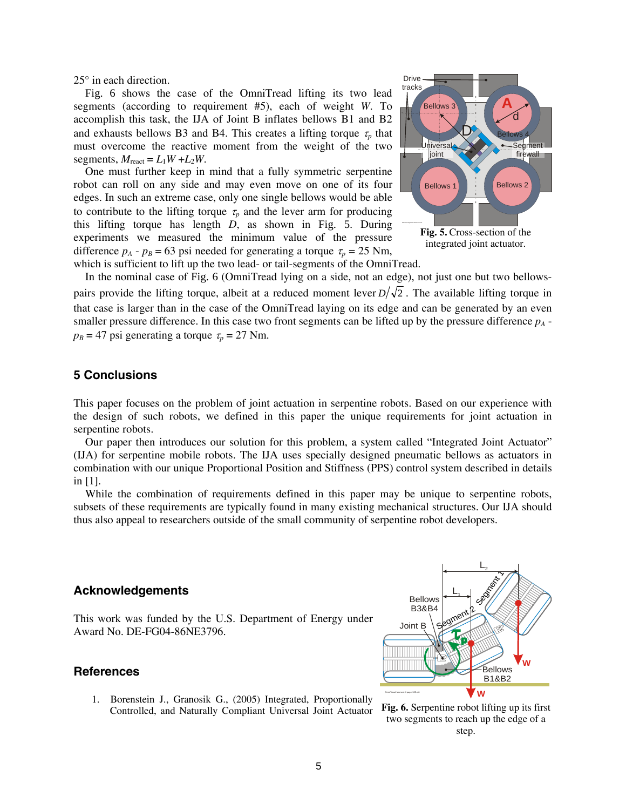25° in each direction.

Fig. 6 shows the case of the OmniTread lifting its two lead segments (according to requirement #5), each of weight *W*. To accomplish this task, the IJA of Joint B inflates bellows B1 and B2 and exhausts bellows B3 and B4. This creates a lifting torque  $\tau_p$  that must overcome the reactive moment from the weight of the two segments,  $M_{\text{react}} = L_1 W + L_2 W$ .

One must further keep in mind that a fully symmetric serpentine robot can roll on any side and may even move on one of its four edges. In such an extreme case, only one single bellows would be able to contribute to the lifting torque  $\tau_p$  and the lever arm for producing this lifting torque has length *D*, as shown in Fig. 5. During experiments we measured the minimum value of the pressure difference  $p_A - p_B = 63$  psi needed for generating a torque  $\tau_p = 25$  Nm,



which is sufficient to lift up the two lead- or tail-segments of the OmniTread.

In the nominal case of Fig. 6 (OmniTread lying on a side, not an edge), not just one but two bellowspairs provide the lifting torque, albeit at a reduced moment lever  $D/\sqrt{2}$ . The available lifting torque in that case is larger than in the case of the OmniTread laying on its edge and can be generated by an even smaller pressure difference. In this case two front segments can be lifted up by the pressure difference  $p_A$   $p_B = 47$  psi generating a torque  $\tau_p = 27$  Nm.

### **5 Conclusions**

This paper focuses on the problem of joint actuation in serpentine robots. Based on our experience with the design of such robots, we defined in this paper the unique requirements for joint actuation in serpentine robots.

Our paper then introduces our solution for this problem, a system called "Integrated Joint Actuator" (IJA) for serpentine mobile robots. The IJA uses specially designed pneumatic bellows as actuators in combination with our unique Proportional Position and Stiffness (PPS) control system described in details in [1].

While the combination of requirements defined in this paper may be unique to serpentine robots, subsets of these requirements are typically found in many existing mechanical structures. Our IJA should thus also appeal to researchers outside of the small community of serpentine robot developers.

## **Acknowledgements**

This work was funded by the U.S. Department of Energy under Award No. DE-FG04-86NE3796.

# **References**

1. Borenstein J., Granosik G., (2005) Integrated, Proportionally Controlled, and Naturally Compliant Universal Joint Actuator



**Fig. 6.** Serpentine robot lifting up its first two segments to reach up the edge of a step.